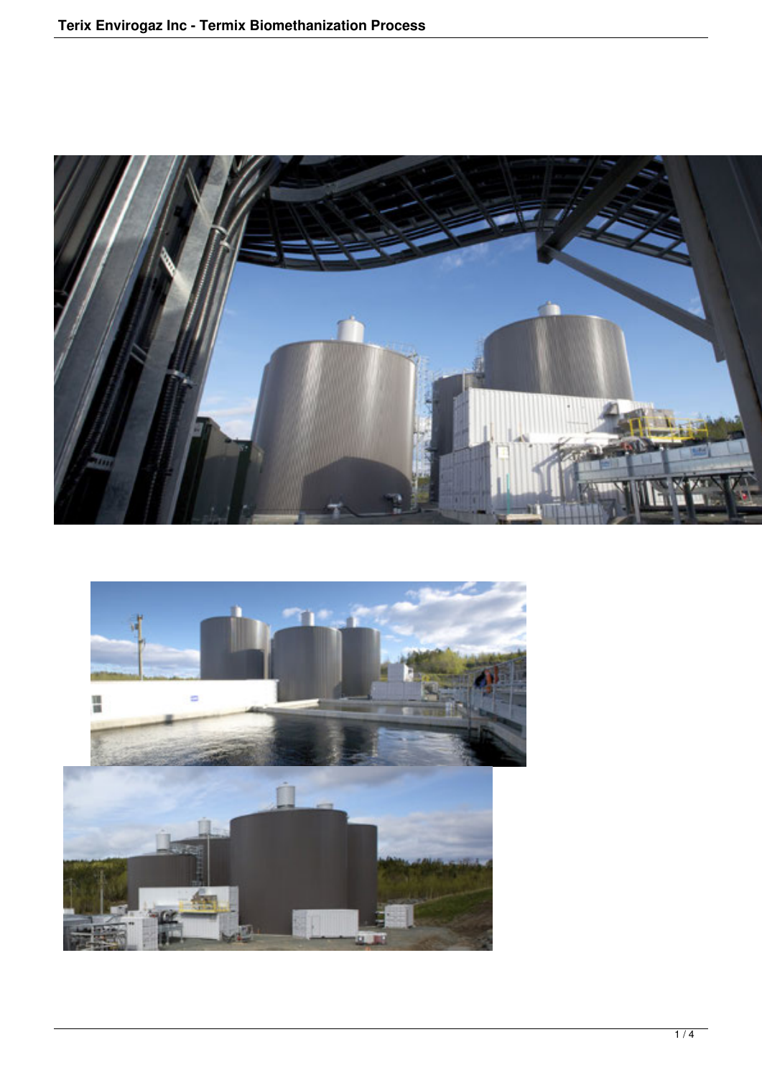

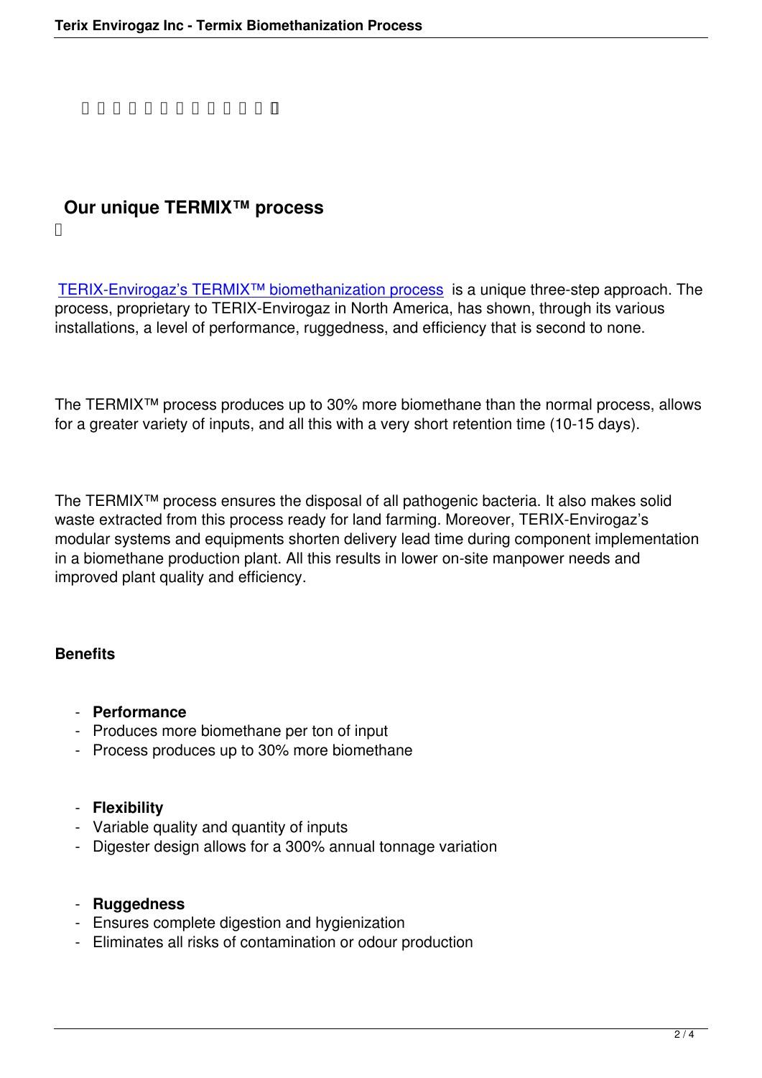## **Our unique TERMIX™ process**

 $\Box$ 

TERIX-Envirogaz's TERMIX™ biomethanization process is a unique three-step approach. The process, proprietary to TERIX-Envirogaz in North America, has shown, through its various installations, a level of performance, ruggedness, and efficiency that is second to none.

The TERMIX™ process produces up to 30% more biomethane than the normal process, allows for a greater variety of inputs, and all this with a very short retention time (10-15 days).

The TERMIX™ process ensures the disposal of all pathogenic bacteria. It also makes solid waste extracted from this process ready for land farming. Moreover, TERIX-Envirogaz's modular systems and equipments shorten delivery lead time during component implementation in a biomethane production plant. All this results in lower on-site manpower needs and improved plant quality and efficiency.

## **Benefits**

- **Performance**
- Produces more biomethane per ton of input
- Process produces up to 30% more biomethane

## - **Flexibility**

- Variable quality and quantity of inputs
- Digester design allows for a 300% annual tonnage variation

## - **Ruggedness**

- Ensures complete digestion and hygienization
- Eliminates all risks of contamination or odour production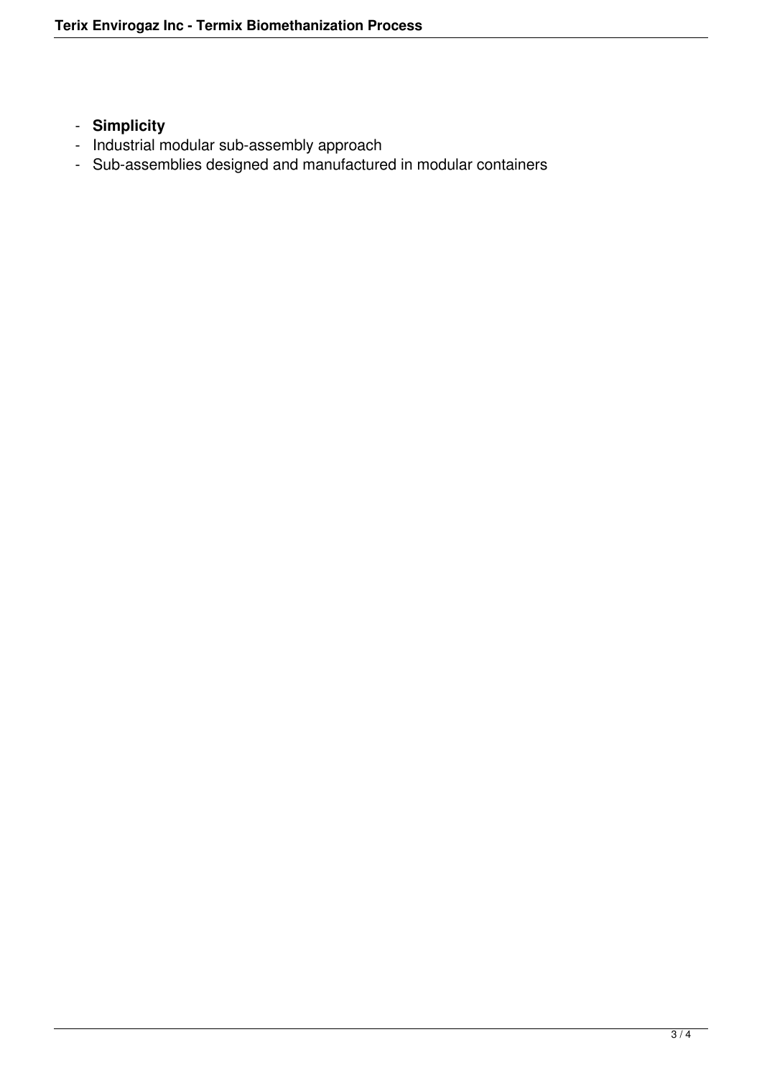- **Simplicity**
- Industrial modular sub-assembly approach
- Sub-assemblies designed and manufactured in modular containers